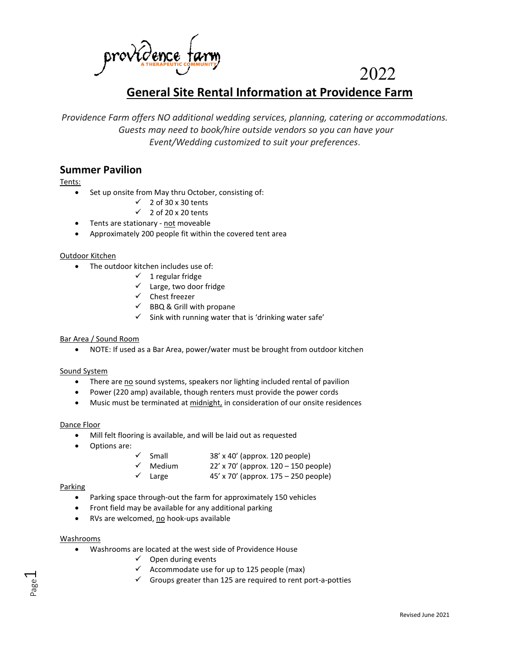

# 2022

# **General Site Rental Information at Providence Farm**

*Providence Farm offers NO additional wedding services, planning, catering or accommodations. Guests may need to book/hire outside vendors so you can have your Event/Wedding customized to suit your preferences*.

# **Summer Pavilion**

Tents:

- Set up onsite from May thru October, consisting of:
	- $\checkmark$  2 of 30 x 30 tents
	- $\checkmark$  2 of 20 x 20 tents
- Tents are stationary not moveable
- Approximately 200 people fit within the covered tent area

# Outdoor Kitchen

- The outdoor kitchen includes use of:
	- $\checkmark$  1 regular fridge
	- $\checkmark$  Large, two door fridge
	- $\checkmark$  Chest freezer
	- $\checkmark$  BBQ & Grill with propane
	- $\checkmark$  Sink with running water that is 'drinking water safe'

# Bar Area / Sound Room

• NOTE: If used as a Bar Area, power/water must be brought from outdoor kitchen

# Sound System

- There are no sound systems, speakers nor lighting included rental of pavilion
- Power (220 amp) available, though renters must provide the power cords
- Music must be terminated at midnight, in consideration of our onsite residences

# Dance Floor

- Mill felt flooring is available, and will be laid out as requested
- Options are:
- Small 38' x 40' (approx. 120 people)
- $\checkmark$  Medium 22' x 70' (approx. 120 150 people)
- Large 45' x 70' (approx. 175 250 people)

# Parking

- Parking space through-out the farm for approximately 150 vehicles
- Front field may be available for any additional parking
- RVs are welcomed, no hook-ups available

# Washrooms

Page  $\overline{\phantom{0}}$ 

- Washrooms are located at the west side of Providence House
	- $\checkmark$  Open during events
	- $\checkmark$  Accommodate use for up to 125 people (max)
	- $\checkmark$  Groups greater than 125 are required to rent port-a-potties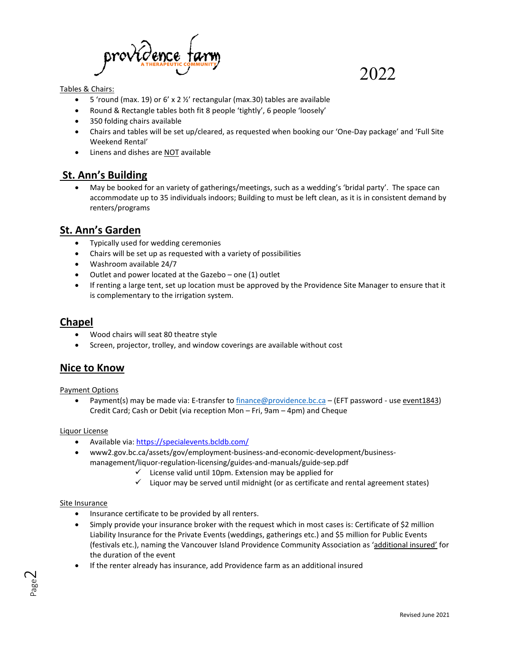

# Tables & Chairs:

- 5 'round (max. 19) or 6' x 2 ½' rectangular (max.30) tables are available
- Round & Rectangle tables both fit 8 people 'tightly', 6 people 'loosely'
- 350 folding chairs available
- Chairs and tables will be set up/cleared, as requested when booking our 'One-Day package' and 'Full Site Weekend Rental'

2022

• Linens and dishes are NOT available

# **St. Ann's Building**

• May be booked for an variety of gatherings/meetings, such as a wedding's 'bridal party'. The space can accommodate up to 35 individuals indoors; Building to must be left clean, as it is in consistent demand by renters/programs

# **St. Ann's Garden**

- Typically used for wedding ceremonies
- Chairs will be set up as requested with a variety of possibilities
- Washroom available 24/7
- Outlet and power located at the Gazebo one (1) outlet
- If renting a large tent, set up location must be approved by the Providence Site Manager to ensure that it is complementary to the irrigation system.

# **Chapel**

- Wood chairs will seat 80 theatre style
- Screen, projector, trolley, and window coverings are available without cost

# **Nice to Know**

# Payment Options

• Payment(s) may be made via: E-transfer t[o finance@providence.bc.ca](mailto:finance@providence.bc.ca) – (EFT password - use event1843) Credit Card; Cash or Debit (via reception Mon – Fri, 9am – 4pm) and Cheque

# Liquor License

- Available via:<https://specialevents.bcldb.com/>
- www2.gov.bc.ca/assets/gov/employment-business-and-economic-development/businessmanagement/liquor-regulation-licensing/guides-and-manuals/guide-sep.pdf
	- $\checkmark$  License valid until 10pm. Extension may be applied for
	- $\checkmark$  Liquor may be served until midnight (or as certificate and rental agreement states)

# Site Insurance

- Insurance certificate to be provided by all renters.
- Simply provide your insurance broker with the request which in most cases is: Certificate of \$2 million Liability Insurance for the Private Events (weddings, gatherings etc.) and \$5 million for Public Events (festivals etc.), naming the Vancouver Island Providence Community Association as 'additional insured' for the duration of the event
- If the renter already has insurance, add Providence farm as an additional insured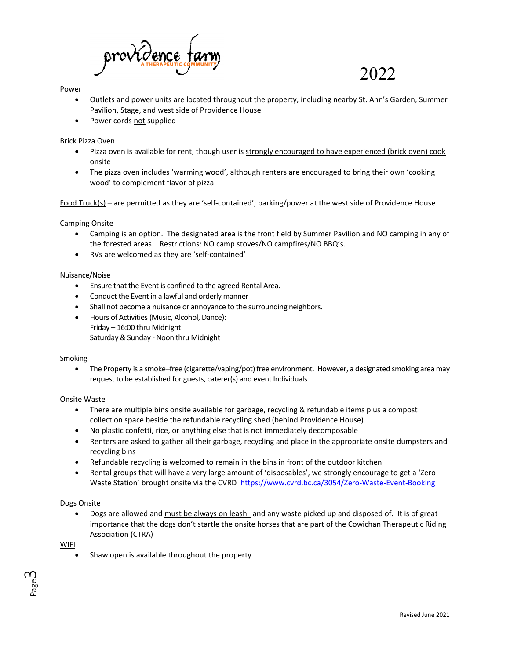

# Power

• Outlets and power units are located throughout the property, including nearby St. Ann's Garden, Summer Pavilion, Stage, and west side of Providence House

2022

• Power cords not supplied

# Brick Pizza Oven

- Pizza oven is available for rent, though user is strongly encouraged to have experienced (brick oven) cook onsite
- The pizza oven includes 'warming wood', although renters are encouraged to bring their own 'cooking wood' to complement flavor of pizza

Food Truck(s) – are permitted as they are 'self-contained'; parking/power at the west side of Providence House

# Camping Onsite

- Camping is an option. The designated area is the front field by Summer Pavilion and NO camping in any of the forested areas. Restrictions: NO camp stoves/NO campfires/NO BBQ's.
- RVs are welcomed as they are 'self-contained'

# Nuisance/Noise

- Ensure that the Event is confined to the agreed Rental Area.
- Conduct the Event in a lawful and orderly manner
- Shall not become a nuisance or annoyance to the surrounding neighbors.
- Hours of Activities (Music, Alcohol, Dance): Friday – 16:00 thru Midnight Saturday & Sunday - Noon thru Midnight

# Smoking

• The Property is a smoke–free (cigarette/vaping/pot) free environment. However, a designated smoking area may request to be established for guests, caterer(s) and event Individuals

# Onsite Waste

- There are multiple bins onsite available for garbage, recycling & refundable items plus a compost collection space beside the refundable recycling shed (behind Providence House)
- No plastic confetti, rice, or anything else that is not immediately decomposable
- Renters are asked to gather all their garbage, recycling and place in the appropriate onsite dumpsters and recycling bins
- Refundable recycling is welcomed to remain in the bins in front of the outdoor kitchen
- Rental groups that will have a very large amount of 'disposables', we strongly encourage to get a 'Zero Waste Station' brought onsite via the CVRD <https://www.cvrd.bc.ca/3054/Zero-Waste-Event-Booking>

# Dogs Onsite

Dogs are allowed and must be always on leash and any waste picked up and disposed of. It is of great importance that the dogs don't startle the onsite horses that are part of the Cowichan Therapeutic Riding Association (CTRA)

WIFI

Shaw open is available throughout the property